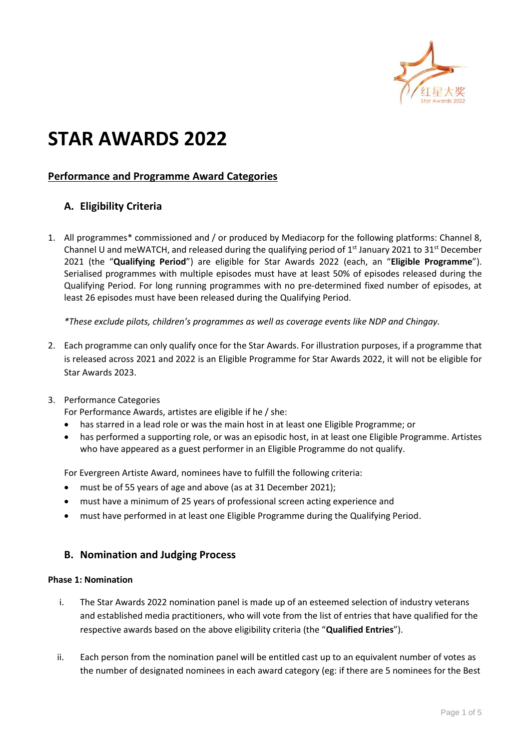

# **STAR AWARDS 2022**

# **Performance and Programme Award Categories**

# **A. Eligibility Criteria**

1. All programmes\* commissioned and / or produced by Mediacorp for the following platforms: Channel 8, Channel U and meWATCH, and released during the qualifying period of  $1<sup>st</sup>$  January 2021 to 31 $<sup>st</sup>$  December</sup> 2021 (the "**Qualifying Period**") are eligible for Star Awards 2022 (each, an "**Eligible Programme**"). Serialised programmes with multiple episodes must have at least 50% of episodes released during the Qualifying Period. For long running programmes with no pre-determined fixed number of episodes, at least 26 episodes must have been released during the Qualifying Period.

*\*These exclude pilots, children's programmes as well as coverage events like NDP and Chingay.*

2. Each programme can only qualify once for the Star Awards. For illustration purposes, if a programme that is released across 2021 and 2022 is an Eligible Programme for Star Awards 2022, it will not be eligible for Star Awards 2023.

# 3. Performance Categories

For Performance Awards, artistes are eligible if he / she:

- has starred in a lead role or was the main host in at least one Eligible Programme; or
- has performed a supporting role, or was an episodic host, in at least one Eligible Programme. Artistes who have appeared as a guest performer in an Eligible Programme do not qualify.

For Evergreen Artiste Award, nominees have to fulfill the following criteria:

- must be of 55 years of age and above (as at 31 December 2021);
- must have a minimum of 25 years of professional screen acting experience and
- must have performed in at least one Eligible Programme during the Qualifying Period.

# **B. Nomination and Judging Process**

# **Phase 1: Nomination**

- i. The Star Awards 2022 nomination panel is made up of an esteemed selection of industry veterans and established media practitioners, who will vote from the list of entries that have qualified for the respective awards based on the above eligibility criteria (the "**Qualified Entries**").
- ii. Each person from the nomination panel will be entitled cast up to an equivalent number of votes as the number of designated nominees in each award category (eg: if there are 5 nominees for the Best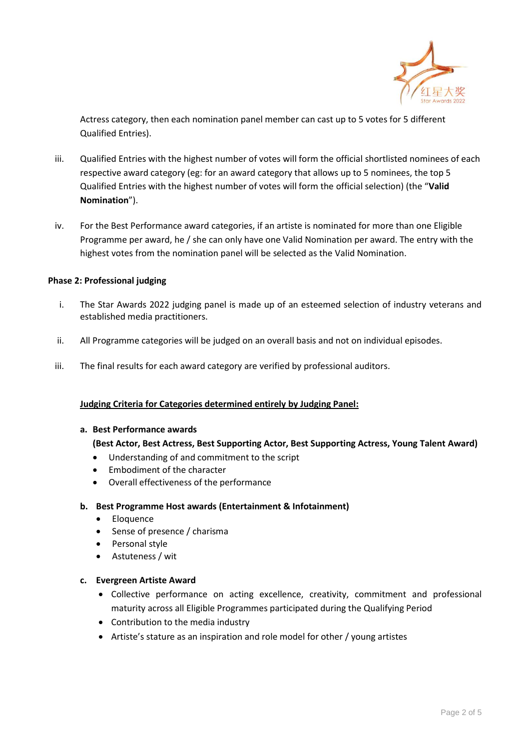

Actress category, then each nomination panel member can cast up to 5 votes for 5 different Qualified Entries).

- iii. Qualified Entries with the highest number of votes will form the official shortlisted nominees of each respective award category (eg: for an award category that allows up to 5 nominees, the top 5 Qualified Entries with the highest number of votes will form the official selection) (the "**Valid Nomination**").
- iv. For the Best Performance award categories, if an artiste is nominated for more than one Eligible Programme per award, he / she can only have one Valid Nomination per award. The entry with the highest votes from the nomination panel will be selected as the Valid Nomination.

# **Phase 2: Professional judging**

- i. The Star Awards 2022 judging panel is made up of an esteemed selection of industry veterans and established media practitioners.
- ii. All Programme categories will be judged on an overall basis and not on individual episodes.
- iii. The final results for each award category are verified by professional auditors.

# **Judging Criteria for Categories determined entirely by Judging Panel:**

#### **a. Best Performance awards**

# **(Best Actor, Best Actress, Best Supporting Actor, Best Supporting Actress, Young Talent Award)**

- Understanding of and commitment to the script
- Embodiment of the character
- Overall effectiveness of the performance

# **b. Best Programme Host awards (Entertainment & Infotainment)**

- **Eloquence**
- Sense of presence / charisma
- Personal style
- Astuteness / wit

# **c. Evergreen Artiste Award**

- Collective performance on acting excellence, creativity, commitment and professional maturity across all Eligible Programmes participated during the Qualifying Period
- Contribution to the media industry
- Artiste's stature as an inspiration and role model for other / young artistes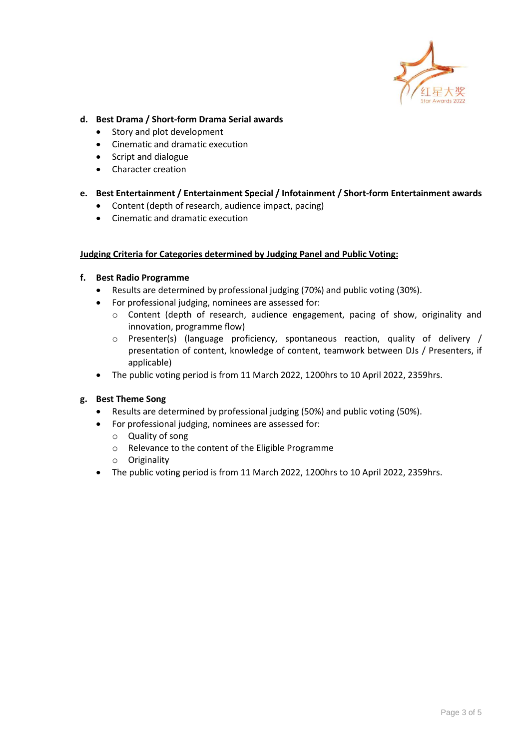

# **d. Best Drama / Short-form Drama Serial awards**

- Story and plot development
- Cinematic and dramatic execution
- Script and dialogue
- Character creation

# **e. Best Entertainment / Entertainment Special / Infotainment / Short-form Entertainment awards**

- Content (depth of research, audience impact, pacing)
- Cinematic and dramatic execution

# **Judging Criteria for Categories determined by Judging Panel and Public Voting:**

# **f. Best Radio Programme**

- Results are determined by professional judging (70%) and public voting (30%).
- For professional judging, nominees are assessed for:
	- o Content (depth of research, audience engagement, pacing of show, originality and innovation, programme flow)
	- o Presenter(s) (language proficiency, spontaneous reaction, quality of delivery / presentation of content, knowledge of content, teamwork between DJs / Presenters, if applicable)
- The public voting period is from 11 March 2022, 1200hrs to 10 April 2022, 2359hrs.

# **g. Best Theme Song**

- Results are determined by professional judging (50%) and public voting (50%).
- For professional judging, nominees are assessed for:
	- o Quality of song
	- o Relevance to the content of the Eligible Programme
	- o Originality
- The public voting period is from 11 March 2022, 1200hrs to 10 April 2022, 2359hrs.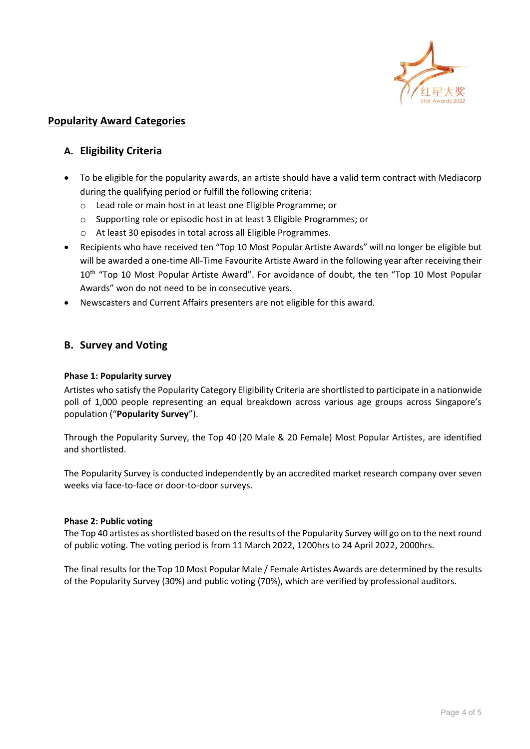

# **Popularity Award Categories**

# **A. Eligibility Criteria**

- To be eligible for the popularity awards, an artiste should have a valid term contract with Mediacorp during the qualifying period or fulfill the following criteria:
	- o Lead role or main host in at least one Eligible Programme; or
	- o Supporting role or episodic host in at least 3 Eligible Programmes; or
	- o At least 30 episodes in total across all Eligible Programmes.
- Recipients who have received ten "Top 10 Most Popular Artiste Awards" will no longer be eligible but will be awarded a one-time All-Time Favourite Artiste Award in the following year after receiving their 10<sup>th</sup> "Top 10 Most Popular Artiste Award". For avoidance of doubt, the ten "Top 10 Most Popular Awards" won do not need to be in consecutive years.
- Newscasters and Current Affairs presenters are not eligible for this award.

# **B. Survey and Voting**

# **Phase 1: Popularity survey**

Artistes who satisfy the Popularity Category Eligibility Criteria are shortlisted to participate in a nationwide poll of 1,000 people representing an equal breakdown across various age groups across Singapore's population ("**Popularity Survey**").

Through the Popularity Survey, the Top 40 (20 Male & 20 Female) Most Popular Artistes, are identified and shortlisted.

The Popularity Survey is conducted independently by an accredited market research company over seven weeks via face-to-face or door-to-door surveys.

# **Phase 2: Public voting**

The Top 40 artistes as shortlisted based on the results of the Popularity Survey will go on to the next round of public voting. The voting period is from 11 March 2022, 1200hrs to 24 April 2022, 2000hrs.

The final results for the Top 10 Most Popular Male / Female Artistes Awards are determined by the results of the Popularity Survey (30%) and public voting (70%), which are verified by professional auditors.